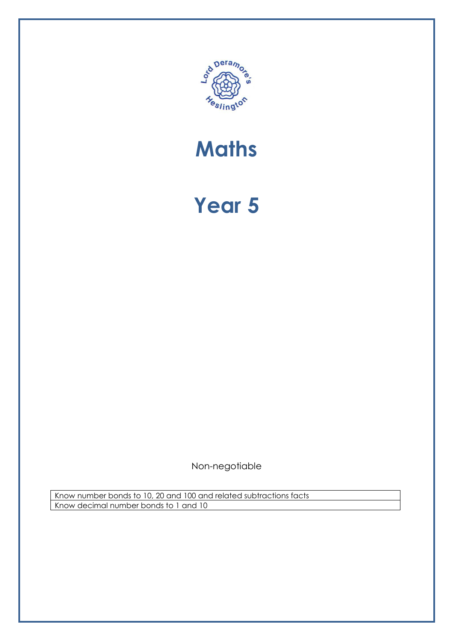

**Maths** 

Year 5

Non-negotiable

Know number bonds to 10, 20 and 100 and related subtractions facts Know decimal number bonds to 1 and 10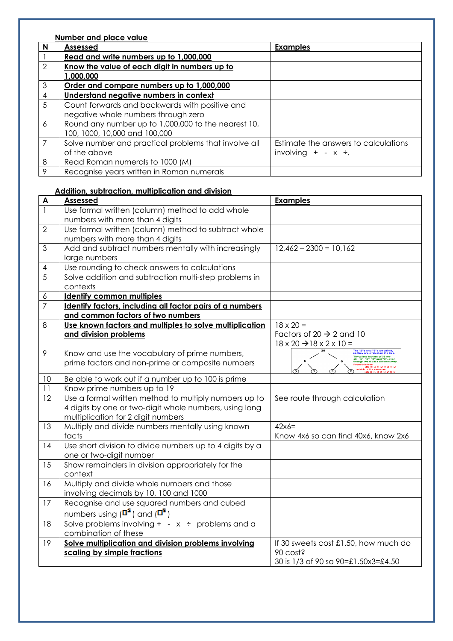|                | <b>Number and place value</b>                        |                                      |  |
|----------------|------------------------------------------------------|--------------------------------------|--|
| N              | Assessed                                             | <b>Examples</b>                      |  |
|                | Read and write numbers up to 1,000,000               |                                      |  |
| 2              | Know the value of each digit in numbers up to        |                                      |  |
|                | 1,000,000                                            |                                      |  |
| 3              | Order and compare numbers up to 1,000,000            |                                      |  |
| $\overline{4}$ | Understand negative numbers in context               |                                      |  |
| 5              | Count forwards and backwards with positive and       |                                      |  |
|                | negative whole numbers through zero                  |                                      |  |
| 6              | Round any number up to 1,000,000 to the nearest 10,  |                                      |  |
|                | 100, 1000, 10,000 and 100,000                        |                                      |  |
| 7              | Solve number and practical problems that involve all | Estimate the answers to calculations |  |
|                | of the above                                         | involving $+ - x \div$ .             |  |
| 8              | Read Roman numerals to 1000 (M)                      |                                      |  |
| 9              | Recognise years written in Roman numerals            |                                      |  |

## Addition, subtraction, multiplication and division

| A              | <b>Assessed</b>                                           | <b>Examples</b>                                    |
|----------------|-----------------------------------------------------------|----------------------------------------------------|
| $\mathbf{1}$   | Use formal written (column) method to add whole           |                                                    |
|                | numbers with more than 4 digits                           |                                                    |
| $\overline{2}$ | Use formal written (column) method to subtract whole      |                                                    |
|                | numbers with more than 4 digits                           |                                                    |
| 3              | Add and subtract numbers mentally with increasingly       | $12,462 - 2300 = 10,162$                           |
|                | large numbers                                             |                                                    |
| $\overline{4}$ | Use rounding to check answers to calculations             |                                                    |
| $\overline{5}$ | Solve addition and subtraction multi-step problems in     |                                                    |
|                | contexts                                                  |                                                    |
| 6              | <b>Identify common multiples</b>                          |                                                    |
| $\overline{7}$ | Identify factors, including all factor pairs of a numbers |                                                    |
|                | and common factors of two numbers                         |                                                    |
| 8              | Use known factors and multiples to solve multiplication   | $18 \times 20 =$                                   |
|                | and division problems                                     | Factors of 20 $\rightarrow$ 2 and 10               |
|                |                                                           | $18 \times 20 \rightarrow 18 \times 2 \times 10 =$ |
| 9              | Know and use the vocabulary of prime numbers,             |                                                    |
|                | prime factors and non-prime or composite numbers          |                                                    |
| 10             | Be able to work out if a number up to 100 is prime        |                                                    |
| 11             | Know prime numbers up to 19                               |                                                    |
| 12             | Use a formal written method to multiply numbers up to     | See route through calculation                      |
|                | 4 digits by one or two-digit whole numbers, using long    |                                                    |
|                | multiplication for 2 digit numbers                        |                                                    |
| 13             | Multiply and divide numbers mentally using known          | $42x6=$                                            |
|                | facts                                                     | Know 4x6 so can find 40x6, know 2x6                |
| 14             | Use short division to divide numbers up to 4 digits by a  |                                                    |
|                | one or two-digit number                                   |                                                    |
| 15             | Show remainders in division appropriately for the         |                                                    |
|                | context                                                   |                                                    |
| 16             | Multiply and divide whole numbers and those               |                                                    |
|                | involving decimals by 10, 100 and 1000                    |                                                    |
| 17             | Recognise and use squared numbers and cubed               |                                                    |
|                | numbers using $(\mathbb{E}^2)$ and $(\mathbb{E}^3)$       |                                                    |
| 18             | Solve problems involving + $- x \div$ problems and a      |                                                    |
|                | combination of these                                      |                                                    |
| 19             | Solve multiplication and division problems involving      | If 30 sweets cost £1.50, how much do               |
|                | scaling by simple fractions                               | 90 cost?                                           |
|                |                                                           | 30 is 1/3 of 90 so 90=£1.50x3=£4.50                |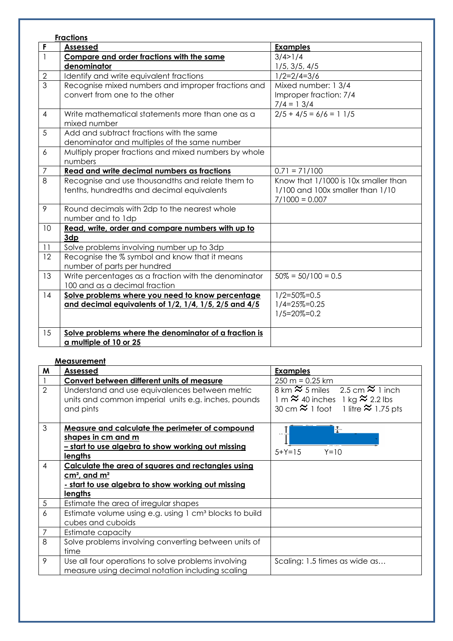| $\mathsf F$    | <b>Assessed</b>                                                                     | <b>Examples</b>                      |
|----------------|-------------------------------------------------------------------------------------|--------------------------------------|
| $\mathbf{1}$   | Compare and order fractions with the same                                           | 3/4 > 1/4                            |
|                | denominator                                                                         | $1/5$ , $3/5$ , $4/5$                |
| $\overline{2}$ | Identify and write equivalent fractions                                             | $1/2=2/4=3/6$                        |
| 3              | Recognise mixed numbers and improper fractions and                                  | Mixed number: 1 3/4                  |
|                | convert from one to the other                                                       | Improper fraction: 7/4               |
|                |                                                                                     | $7/4 = 13/4$                         |
| $\overline{4}$ | Write mathematical statements more than one as a<br>mixed number                    | $2/5 + 4/5 = 6/6 = 11/5$             |
| 5              | Add and subtract fractions with the same                                            |                                      |
|                | denominator and multiples of the same number                                        |                                      |
| 6              | Multiply proper fractions and mixed numbers by whole                                |                                      |
|                | numbers                                                                             |                                      |
| $\overline{7}$ | Read and write decimal numbers as fractions                                         | $0.71 = 71/100$                      |
| $\overline{8}$ | Recognise and use thousandths and relate them to                                    | Know that 1/1000 is 10x smaller than |
|                | tenths, hundredths and decimal equivalents                                          | 1/100 and 100x smaller than 1/10     |
|                |                                                                                     | $7/1000 = 0.007$                     |
| 9              | Round decimals with 2dp to the nearest whole                                        |                                      |
|                | number and to 1dp                                                                   |                                      |
| 10             | Read, write, order and compare numbers with up to                                   |                                      |
|                | 3dp                                                                                 |                                      |
| 11             | Solve problems involving number up to 3dp                                           |                                      |
| 12             | Recognise the % symbol and know that it means                                       |                                      |
| 13             | number of parts per hundred<br>Write percentages as a fraction with the denominator | $50\% = 50/100 = 0.5$                |
|                | 100 and as a decimal fraction                                                       |                                      |
| 14             | Solve problems where you need to know percentage                                    | $1/2 = 50\% = 0.5$                   |
|                | and decimal equivalents of 1/2, 1/4, 1/5, 2/5 and 4/5                               | $1/4 = 25\% = 0.25$                  |
|                |                                                                                     | $1/5 = 20\% = 0.2$                   |
|                |                                                                                     |                                      |
| 15             | Solve problems where the denominator of a fraction is                               |                                      |
|                | a multiple of 10 or 25                                                              |                                      |

## **Measurement**

| M              | <b>Assessed</b>                                                                                                                         | <b>Examples</b>                                                                                                                                       |
|----------------|-----------------------------------------------------------------------------------------------------------------------------------------|-------------------------------------------------------------------------------------------------------------------------------------------------------|
|                | Convert between different units of measure                                                                                              | $250 m = 0.25 km$                                                                                                                                     |
| $\overline{2}$ | Understand and use equivalences between metric<br>units and common imperial units e.g. inches, pounds<br>and pints                      | 8 km $\approx$ 5 miles 2.5 cm $\approx$ 1 inch<br>1 m $\approx$ 40 inches 1 kg $\approx$ 2.2 lbs<br>30 cm $\approx$ 1 foot 1 litre $\approx$ 1.75 pts |
| 3              | Measure and calculate the perimeter of compound<br>shapes in cm and m<br>- start to use algebra to show working out missing<br>lengths  | $\mathbf{f}$<br>$5+Y=15$<br>$Y=10$                                                                                                                    |
| $\overline{4}$ | Calculate the area of squares and rectangles using<br>$cm2$ , and $m2$<br>- start to use algebra to show working out missing<br>lengths |                                                                                                                                                       |
| 5              | Estimate the area of irregular shapes                                                                                                   |                                                                                                                                                       |
| 6              | Estimate volume using e.g. using 1 cm <sup>3</sup> blocks to build<br>cubes and cuboids                                                 |                                                                                                                                                       |
| 7              | Estimate capacity                                                                                                                       |                                                                                                                                                       |
| 8              | Solve problems involving converting between units of<br>time                                                                            |                                                                                                                                                       |
| 9              | Use all four operations to solve problems involving<br>measure using decimal notation including scaling                                 | Scaling: 1.5 times as wide as                                                                                                                         |